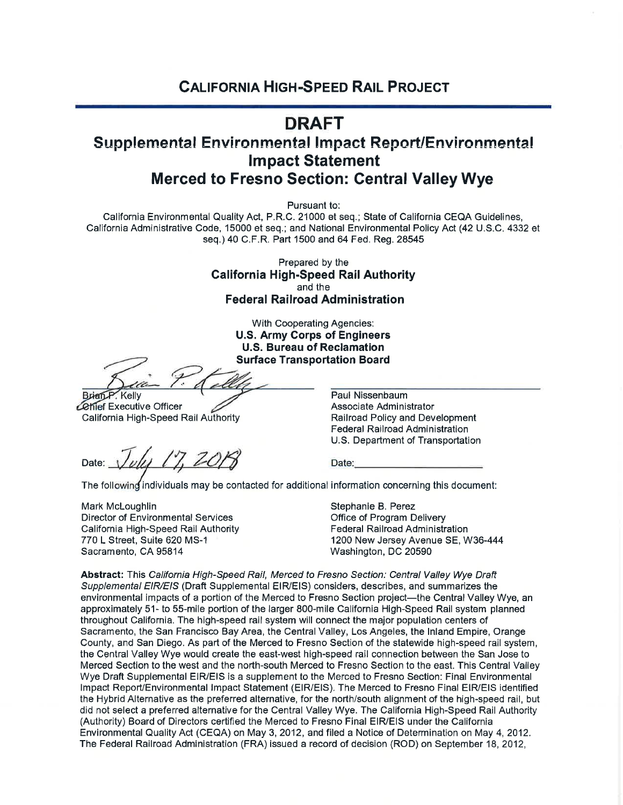## **CALIFORNIA HIGH-SPEED RAIL PROJECT**

## **DRAFT**

## **Supplemental Environmental Impact Report/Environmental Impact Statement Merced to Fresno Section: Central Valley Wye**

Pursuant to:

California Environmental Quality Act, P.R.C. 21000 et seq.; State of California CEQA Guidelines, California Administrative Code, 15000 et seq.; and National Environmental Policy Act (42 U.S.C. 4332 et seq.) 40 C.F.R. Part 1500 and 64 Fed. Reg. 28545

> Prepared by the **California High-Speed Rail Authority** and the **Federal Railroad Administration**

> > With Cooperating Agencies: **U.S. Army Corps of Engineers U.S. Bureau of Reclamation Surface Transportation Board**

Brian P. Kelly

**Cehief Executive Officer** California High-Speed Rail Authority

Date: \

Paul Nissenbaum Associate Administrator Railroad Policy and Development **Federal Railroad Administration** U.S. Department of Transportation

Date:

The following individuals may be contacted for additional information concerning this document:

Mark McLoughlin Director of Environmental Services California High-Speed Rail Authority 770 L Street, Suite 620 MS-1 Sacramento, CA 95814

Stephanie B. Perez Office of Program Delivery **Federal Railroad Administration** 1200 New Jersey Avenue SE, W36-444 Washington, DC 20590

Abstract: This California High-Speed Rail, Merced to Fresno Section: Central Valley Wye Draft Supplemental EIR/EIS (Draft Supplemental EIR/EIS) considers, describes, and summarizes the environmental impacts of a portion of the Merced to Fresno Section project—the Central Valley Wye, an approximately 51- to 55-mile portion of the larger 800-mile California High-Speed Rail system planned throughout California. The high-speed rail system will connect the major population centers of Sacramento, the San Francisco Bay Area, the Central Valley, Los Angeles, the Inland Empire, Orange County, and San Diego. As part of the Merced to Fresno Section of the statewide high-speed rail system, the Central Valley Wye would create the east-west high-speed rail connection between the San Jose to Merced Section to the west and the north-south Merced to Fresno Section to the east. This Central Valley Wye Draft Supplemental EIR/EIS is a supplement to the Merced to Fresno Section: Final Environmental Impact Report/Environmental Impact Statement (EIR/EIS). The Merced to Fresno Final EIR/EIS identified the Hybrid Alternative as the preferred alternative, for the north/south alignment of the high-speed rail, but did not select a preferred alternative for the Central Valley Wye. The California High-Speed Rail Authority (Authority) Board of Directors certified the Merced to Fresno Final EIR/EIS under the California Environmental Quality Act (CEQA) on May 3, 2012, and filed a Notice of Determination on May 4, 2012. The Federal Railroad Administration (FRA) issued a record of decision (ROD) on September 18, 2012,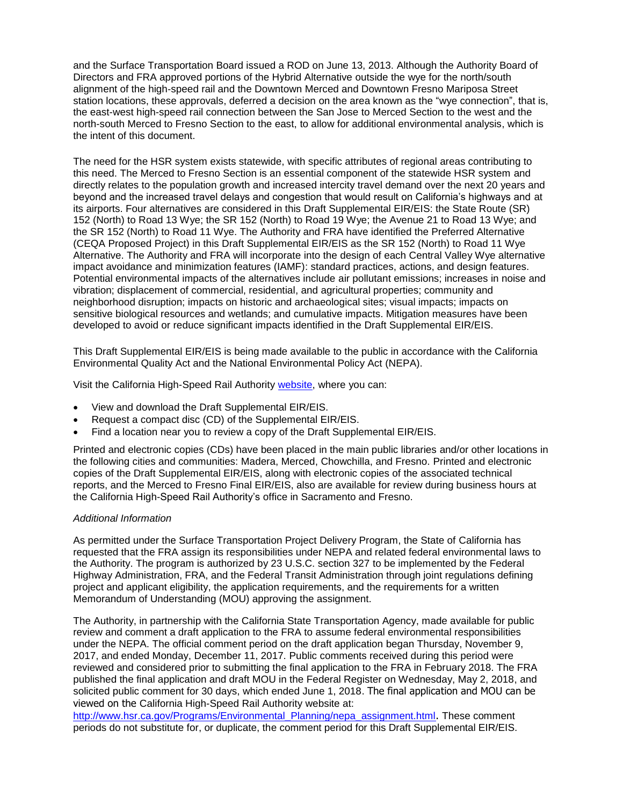and the Surface Transportation Board issued a ROD on June 13, 2013. Although the Authority Board of Directors and FRA approved portions of the Hybrid Alternative outside the wye for the north/south alignment of the high‐speed rail and the Downtown Merced and Downtown Fresno Mariposa Street station locations, these approvals, deferred a decision on the area known as the "wye connection", that is, the east-west high-speed rail connection between the San Jose to Merced Section to the west and the north-south Merced to Fresno Section to the east, to allow for additional environmental analysis, which is the intent of this document.

The need for the HSR system exists statewide, with specific attributes of regional areas contributing to this need. The Merced to Fresno Section is an essential component of the statewide HSR system and directly relates to the population growth and increased intercity travel demand over the next 20 years and beyond and the increased travel delays and congestion that would result on California's highways and at its airports. Four alternatives are considered in this Draft Supplemental EIR/EIS: the State Route (SR) 152 (North) to Road 13 Wye; the SR 152 (North) to Road 19 Wye; the Avenue 21 to Road 13 Wye; and the SR 152 (North) to Road 11 Wye. The Authority and FRA have identified the Preferred Alternative (CEQA Proposed Project) in this Draft Supplemental EIR/EIS as the SR 152 (North) to Road 11 Wye Alternative. The Authority and FRA will incorporate into the design of each Central Valley Wye alternative impact avoidance and minimization features (IAMF): standard practices, actions, and design features. Potential environmental impacts of the alternatives include air pollutant emissions; increases in noise and vibration; displacement of commercial, residential, and agricultural properties; community and neighborhood disruption; impacts on historic and archaeological sites; visual impacts; impacts on sensitive biological resources and wetlands; and cumulative impacts. Mitigation measures have been developed to avoid or reduce significant impacts identified in the Draft Supplemental EIR/EIS.

This Draft Supplemental EIR/EIS is being made available to the public in accordance with the California Environmental Quality Act and the National Environmental Policy Act (NEPA).

Visit the California High-Speed Rail Authority [website,](http://hsr.ca.gov/Programs/Environmental_Planning/supplemental_merced_fresno.html) where you can:

- View and download the Draft Supplemental EIR/EIS.
- Request a compact disc (CD) of the Supplemental EIR/EIS.
- Find a location near you to review a copy of the Draft Supplemental EIR/EIS.

Printed and electronic copies (CDs) have been placed in the main public libraries and/or other locations in the following cities and communities: Madera, Merced, Chowchilla, and Fresno. Printed and electronic copies of the Draft Supplemental EIR/EIS, along with electronic copies of the associated technical reports, and the Merced to Fresno Final EIR/EIS, also are available for review during business hours at the California High-Speed Rail Authority's office in Sacramento and Fresno.

## *Additional Information*

As permitted under the Surface Transportation Project Delivery Program, the State of California has requested that the FRA assign its responsibilities under NEPA and related federal environmental laws to the Authority. The program is authorized by 23 U.S.C. section 327 to be implemented by the Federal Highway Administration, FRA, and the Federal Transit Administration through joint regulations defining project and applicant eligibility, the application requirements, and the requirements for a written Memorandum of Understanding (MOU) approving the assignment.

The Authority, in partnership with the California State Transportation Agency, made available for public review and comment a draft application to the FRA to assume federal environmental responsibilities under the NEPA. The official comment period on the draft application began Thursday, November 9, 2017, and ended Monday, December 11, 2017. Public comments received during this period were reviewed and considered prior to submitting the final application to the FRA in February 2018. The FRA published the final application and draft MOU in the Federal Register on Wednesday, May 2, 2018, and solicited public comment for 30 days, which ended June 1, 2018. The final application and MOU can be viewed on the California High-Speed Rail Authority website at:

[http://www.hsr.ca.gov/Programs/Environmental\\_Planning/nepa\\_assignment.html](http://www.hsr.ca.gov/Programs/Environmental_Planning/nepa_assignment.html). These comment periods do not substitute for, or duplicate, the comment period for this Draft Supplemental EIR/EIS.